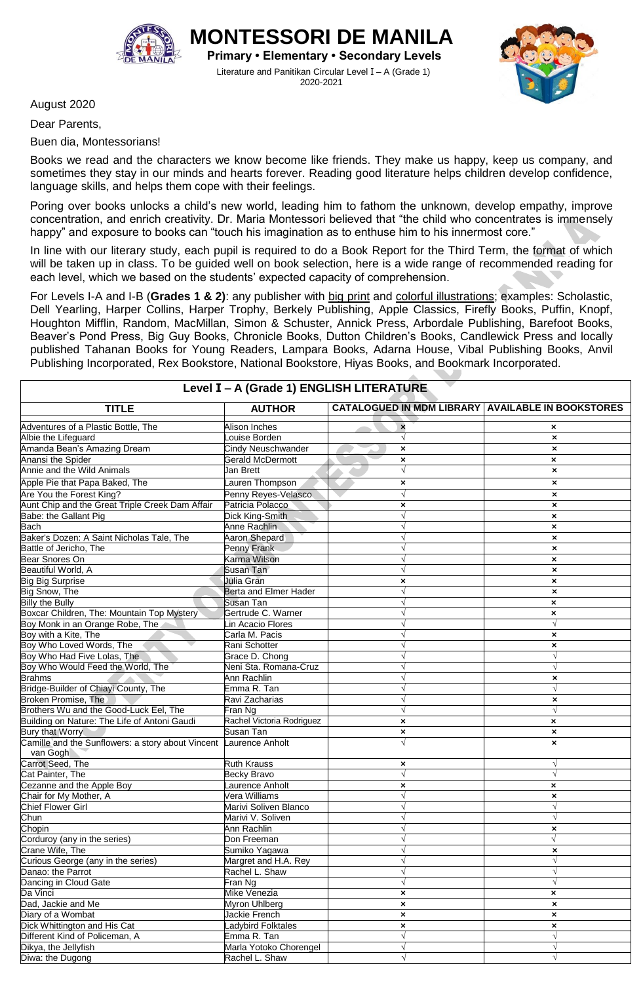

Diwa: the Dugong Rachel L. Shaw **√** √

**IONTESSORI DE MANIL Primary • Elementary • Secondary Levels** Literature and Panitikan Circular Level I – A (Grade 1)

2020-2021

August 2020

Dear Parents,

Buen dia, Montessorians!

Books we read and the characters we know become like friends. They make us happy, keep us company, and sometimes they stay in our minds and hearts forever. Reading good literature helps children develop confidence, language skills, and helps them cope with their feelings.

Poring over books unlocks a child's new world, leading him to fathom the unknown, develop empathy, improve concentration, and enrich creativity. Dr. Maria Montessori believed that "the child who concentrates is immensely happy" and exposure to books can "touch his imagination as to enthuse him to his innermost core."

In line with our literary study, each pupil is required to do a Book Report for the Third Term, the format of which will be taken up in class. To be guided well on book selection, here is a wide range of recommended reading for each level, which we based on the students' expected capacity of comprehension.

For Levels I-A and I-B (**Grades 1 & 2)**: any publisher with big print and colorful illustrations; examples: Scholastic, Dell Yearling, Harper Collins, Harper Trophy, Berkely Publishing, Apple Classics, Firefly Books, Puffin, Knopf, Houghton Mifflin, Random, MacMillan, Simon & Schuster, Annick Press, Arbordale Publishing, Barefoot Books, Beaver's Pond Press, Big Guy Books, Chronicle Books, Dutton Children's Books, Candlewick Press and locally published Tahanan Books for Young Readers, Lampara Books, Adarna House, Vibal Publishing Books, Anvil Publishing Incorporated, Rex Bookstore, National Bookstore, Hiyas Books, and Bookmark Incorporated.

| Level I - A (Grade 1) ENGLISH LITERATURE                                      |                              |                                                          |                           |  |
|-------------------------------------------------------------------------------|------------------------------|----------------------------------------------------------|---------------------------|--|
| <b>TITLE</b>                                                                  | <b>AUTHOR</b>                | <b>CATALOGUED IN MDM LIBRARY AVAILABLE IN BOOKSTORES</b> |                           |  |
| Adventures of a Plastic Bottle, The                                           | Alison Inches                | $\boldsymbol{\mathsf{x}}$                                | $\boldsymbol{\mathsf{x}}$ |  |
| Albie the Lifeguard                                                           | ouise Borden                 | $\sqrt{}$                                                | $\boldsymbol{\mathsf{x}}$ |  |
| Amanda Bean's Amazing Dream                                                   | Cindy Neuschwander           | ×                                                        | ×                         |  |
| Anansi the Spider                                                             | Gerald McDermott             | $\boldsymbol{\mathsf{x}}$                                | $\boldsymbol{\mathsf{x}}$ |  |
| Annie and the Wild Animals                                                    | Jan Brett                    | $\sqrt{ }$                                               | $\boldsymbol{\mathsf{x}}$ |  |
| Apple Pie that Papa Baked, The                                                | auren Thompson               | ×                                                        | ×                         |  |
| Are You the Forest King?                                                      | Penny Reyes-Velasco          |                                                          | ×                         |  |
| Aunt Chip and the Great Triple Creek Dam Affair                               | Patricia Polacco             | ×                                                        | ×                         |  |
| Babe: the Gallant Pig                                                         | Dick King-Smith              |                                                          | ×                         |  |
| Bach                                                                          | Anne Rachlin                 |                                                          | ×                         |  |
| Baker's Dozen: A Saint Nicholas Tale, The                                     | Aaron Shepard                |                                                          | ×                         |  |
| Battle of Jericho, The                                                        | Penny Frank                  |                                                          | ×                         |  |
| <b>Bear Snores On</b>                                                         | Karma Wilson                 |                                                          | ×                         |  |
| Beautiful World, A                                                            | Susan Tan                    |                                                          | ×                         |  |
|                                                                               | Julia Gran                   | ×                                                        | $\boldsymbol{\mathsf{x}}$ |  |
| Big Big Surprise<br>Big Snow, The                                             | <b>Berta and Elmer Hader</b> |                                                          | $\boldsymbol{\mathsf{x}}$ |  |
| <b>Billy the Bully</b>                                                        | Susan Tan                    |                                                          | $\boldsymbol{\mathsf{x}}$ |  |
| Boxcar Children, The: Mountain Top Mystery                                    | Gertrude C. Warner           |                                                          | $\boldsymbol{\mathsf{x}}$ |  |
| Boy Monk in an Orange Robe, The                                               | Lin Acacio Flores            |                                                          |                           |  |
| Boy with a Kite, The                                                          | Carla M. Pacis               |                                                          | ×                         |  |
| Boy Who Loved Words, The                                                      | Rani Schotter                |                                                          | ×                         |  |
| Boy Who Had Five Lolas, The                                                   | Grace D. Chong               |                                                          | $\sqrt{ }$                |  |
| Boy Who Would Feed the World, The                                             | Neni Sta. Romana-Cruz        |                                                          | $\sqrt{ }$                |  |
| <b>Brahms</b>                                                                 | Ann Rachlin                  |                                                          | ×                         |  |
| Bridge-Builder of Chiayi County, The                                          | Emma R. Tan                  |                                                          | $\sqrt{ }$                |  |
| Broken Promise, The                                                           | Ravi Zacharias               |                                                          | ×                         |  |
| Brothers Wu and the Good-Luck Eel, The                                        | Fran Nɑ                      |                                                          | $\sqrt{ }$                |  |
| Building on Nature: The Life of Antoni Gaudi                                  | Rachel Victoria Rodriguez    | ×                                                        | $\boldsymbol{\mathsf{x}}$ |  |
| Bury that Worry.                                                              | Susan Tan                    | $\pmb{\times}$                                           | $\pmb{\times}$            |  |
| Camille and the Sunflowers: a story about Vincent Laurence Anholt<br>van Gogh |                              |                                                          | ×                         |  |
| Carrot Seed, The                                                              | <b>Ruth Krauss</b>           | ×                                                        | V                         |  |
| Cat Painter, The                                                              | Becky Bravo                  |                                                          | $\sqrt{ }$                |  |
| Cezanne and the Apple Boy                                                     | aurence Anholt               | ×                                                        | $\boldsymbol{\mathsf{x}}$ |  |
| Chair for My Mother, A                                                        | Vera Williams                |                                                          | ×                         |  |
| <b>Chief Flower Girl</b>                                                      | Marivi Soliven Blanco        |                                                          |                           |  |
| Chun                                                                          | Marivi V. Soliven            |                                                          | $\sqrt{ }$                |  |
| Chopin                                                                        | Ann Rachlin                  |                                                          | ×                         |  |
| Corduroy (any in the series)                                                  | Don Freeman                  |                                                          | V                         |  |
| Crane Wife, The                                                               | Sumiko Yagawa                |                                                          | ×                         |  |
| Curious George (any in the series)                                            | Margret and H.A. Rey         |                                                          |                           |  |
| Danao: the Parrot                                                             | Rachel L. Shaw               |                                                          | $\sqrt{}$                 |  |
| Dancing in Cloud Gate                                                         | Fran Ng                      |                                                          |                           |  |
| Da Vinci                                                                      | Mike Venezia                 | $\pmb{\times}$                                           | $\boldsymbol{\mathsf{x}}$ |  |
| Dad, Jackie and Me                                                            | Myron Uhlbera                | ×                                                        | ×                         |  |
| Diary of a Wombat                                                             | Jackie French                | $\pmb{\times}$                                           | $\pmb{\times}$            |  |
| Dick Whittington and His Cat                                                  | Ladybird Folktales           | $\pmb{\times}$                                           | $\boldsymbol{\mathsf{x}}$ |  |
| Different Kind of Policeman, A                                                | Emma R. Tan                  |                                                          | $\sqrt{ }$                |  |
| Dikya, the Jellyfish                                                          | Marla Yotoko Chorengel       |                                                          | $\sqrt{ }$                |  |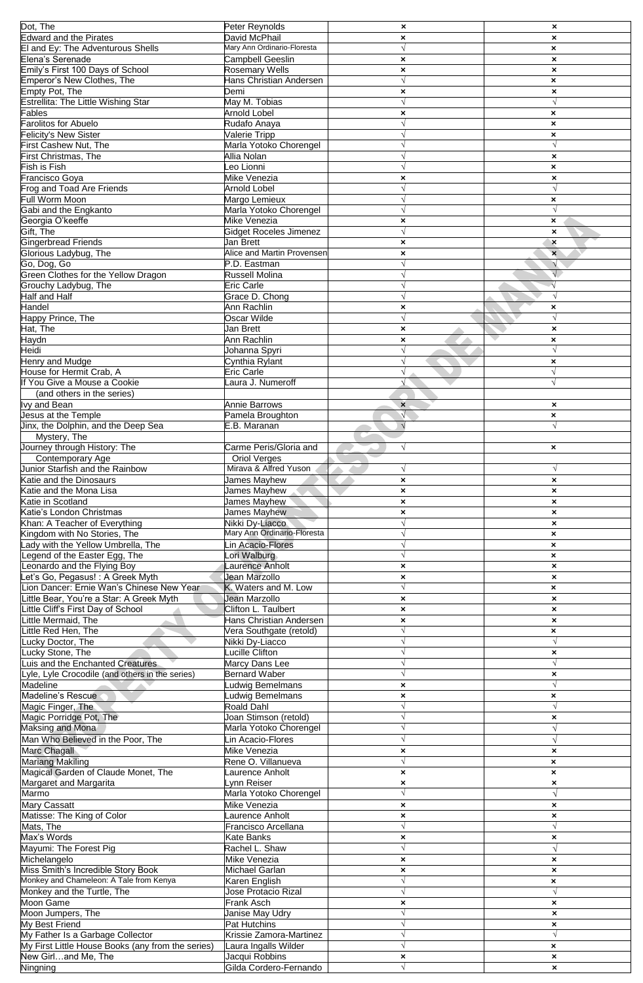| Dot, The                                              | Peter Reynolds                           | $\boldsymbol{\mathsf{x}}$ | $\boldsymbol{\mathsf{x}}$ |
|-------------------------------------------------------|------------------------------------------|---------------------------|---------------------------|
| <b>Edward and the Pirates</b>                         | David McPhail                            | $\pmb{\times}$            | $\boldsymbol{\mathsf{x}}$ |
|                                                       | Mary Ann Ordinario-Floresta              | $\sqrt{ }$                | ×                         |
| El and Ey: The Adventurous Shells<br>Elena's Serenade |                                          |                           |                           |
|                                                       | Campbell Geeslin                         | $\pmb{\times}$            | $\pmb{\times}$            |
| Emily's First 100 Days of School                      | <b>Rosemary Wells</b>                    | $\boldsymbol{\mathsf{x}}$ | $\boldsymbol{\mathsf{x}}$ |
| Emperor's New Clothes, The                            | Hans Christian Andersen                  |                           | ×                         |
| Empty Pot, The<br>Estrellita: The Little Wishing Star | Demi                                     | $\boldsymbol{\mathsf{x}}$ | $\pmb{\times}$            |
|                                                       | May M. Tobias                            | $\sqrt{ }$                | $\sqrt{ }$                |
| ables                                                 | <b>Arnold Lobel</b>                      |                           |                           |
|                                                       |                                          | $\pmb{\times}$            | ×                         |
| Farolitos for Abuelo                                  | Rudafo Anaya                             | $\sqrt{ }$                | ×                         |
| Felicity's New Sister                                 | Valerie Tripp                            |                           | ×                         |
| First Cashew Nut, The                                 | Marla Yotoko Chorengel                   | $\sqrt{ }$                | $\sqrt{ }$                |
| First Christmas, The                                  | Allia Nolan                              |                           | $\boldsymbol{\mathsf{x}}$ |
| Fish is Fish                                          | eo Lionni                                | N                         | ×                         |
| Francisco Goya                                        | Mike Venezia                             |                           |                           |
|                                                       |                                          | $\pmb{\times}$            | $\pmb{\times}$            |
| <b>Frog and Toad Are Friends</b>                      | <b>Arnold Lobel</b>                      | $\mathbf{v}$              | V                         |
| Full Worm Moon                                        | Margo Lemieux                            | $\sqrt{ }$                | ×                         |
| Gabi and the Engkanto                                 | Marla Yotoko Chorengel                   |                           |                           |
| Georgia O'keeffe                                      | Mike Venezia                             | $\boldsymbol{\mathsf{x}}$ | $\boldsymbol{\mathsf{x}}$ |
| Gift, The                                             | Gidget Roceles Jimenez                   | N                         | $\boldsymbol{\mathsf{x}}$ |
| <b>Gingerbread Friends</b>                            | Jan Brett                                |                           |                           |
|                                                       |                                          | $\pmb{\times}$            | $\boldsymbol{\mathsf{x}}$ |
| Glorious Ladybug, The                                 | Alice and Martin Provensen               | $\pmb{\times}$            | $\mathbf{x}$              |
| Go, Dog, Go                                           | P.D. Eastman                             | N                         | V                         |
| Green Clothes for the Yellow Dragon                   | Russell Molina                           | $\sqrt{ }$                | $\sqrt{}$                 |
| Grouchy Ladybug, The                                  | <b>Eric Carle</b>                        |                           |                           |
| <b>Half and Half</b>                                  | Grace D. Chong                           | $\sqrt{ }$                |                           |
| Handel                                                | Ann Rachlin                              | $\boldsymbol{\mathsf{x}}$ | ×                         |
|                                                       |                                          | $\sqrt{ }$                | $\sqrt{ }$                |
| Happy Prince, The                                     | Oscar Wilde                              |                           |                           |
| Hat, The                                              | Jan Brett                                | $\pmb{\times}$            | $\boldsymbol{\mathsf{x}}$ |
| <b>Haydn</b>                                          | Ann Rachlin                              | $\pmb{\times}$            | ×                         |
| Heidi                                                 | Johanna Spyri                            | $\sqrt{ }$                | $\sqrt{ }$                |
| <b>Henry and Mudge</b>                                | Cynthia Rylant                           |                           | $\pmb{\times}$            |
| House for Hermit Crab, A                              | <b>Eric Carle</b>                        |                           | $\sqrt{ }$                |
|                                                       |                                          |                           |                           |
| If You Give a Mouse a Cookie                          | aura J. Numeroff                         | V                         | $\sqrt{}$                 |
| (and others in the series)                            |                                          |                           |                           |
| vy and Bean                                           | <b>Annie Barrows</b>                     | $\boldsymbol{\mathsf{x}}$ | $\pmb{\times}$            |
| Jesus at the Temple                                   | Pamela Broughton                         |                           | ×                         |
| Jinx, the Dolphin, and the Deep Sea                   | E.B. Maranan                             | $\sqrt{2}$                |                           |
| Mystery, The                                          |                                          |                           |                           |
|                                                       |                                          |                           |                           |
| Journey through History: The                          | Carme Peris/Gloria and                   | $\sqrt{}$                 | ×                         |
| <b>Contemporary Age</b>                               | <b>Oriol Verges</b>                      |                           |                           |
| Junior Starfish and the Rainbow                       | Mirava & Alfred Yuson                    | $\sqrt{}$                 | V                         |
| Katie and the Dinosaurs                               | James Mayhew                             | $\pmb{\times}$            | $\pmb{\times}$            |
| Katie and the Mona Lisa                               | James Mayhew                             | ×                         | ×                         |
| Katie in Scotland                                     | James Mayhew                             | $\boldsymbol{\mathsf{x}}$ | $\boldsymbol{\mathsf{x}}$ |
| Katie's London Christmas                              | James Mayhew                             |                           |                           |
|                                                       |                                          | $\boldsymbol{\mathsf{x}}$ | $\boldsymbol{\mathsf{x}}$ |
| Khan: A Teacher of Everything                         | Nikki Dv-Liacco                          | $\sqrt{}$                 | $\boldsymbol{\mathsf{x}}$ |
| Kingdom with No Stories, The                          | Mary Ann Ordinario-Floresta              | $\sqrt{ }$                | $\pmb{\times}$            |
| ady with the Yellow Umbrella, The                     | Lin Acacio-Flores                        | $\sqrt{ }$                | ×                         |
| Legend of the Easter Egg, The                         | Lori Walburg                             | $\sqrt{ }$                | ×                         |
| Leonardo and the Flying Boy                           | aurence Anholt                           | $\boldsymbol{\mathsf{x}}$ | $\boldsymbol{\mathsf{x}}$ |
| et's Go, Pegasus! : A Greek Myth                      | Jean Marzollo                            | $\boldsymbol{\mathsf{x}}$ | $\boldsymbol{\mathsf{x}}$ |
| Lion Dancer: Ernie Wan's Chinese New Year             |                                          | $\sqrt{}$                 |                           |
|                                                       | K. Waters and M. Low                     |                           | ×                         |
| Little Bear, You're a Star: A Greek Myth              | Jean Marzollo                            | $\boldsymbol{\mathsf{x}}$ | $\boldsymbol{\mathsf{x}}$ |
| Little Cliff's First Day of School                    | Clifton L. Taulbert                      | $\pmb{\times}$            | $\pmb{\times}$            |
| Little Mermaid, The                                   | Hans Christian Andersen                  | $\pmb{\times}$            | $\pmb{\times}$            |
| Little Red Hen, The                                   | Vera Southgate (retold)                  | $\sqrt{ }$                | ×                         |
| Lucky Doctor, The                                     | Nikki Dy-Liacco                          | V                         |                           |
| Lucky Stone, The                                      | _ucille Clifton                          | $\sqrt{ }$                | $\boldsymbol{\mathsf{x}}$ |
|                                                       |                                          |                           |                           |
| Luis and the Enchanted Creatures                      | Marcy Dans Lee                           | $\sqrt{}$                 |                           |
| Lyle, Lyle Crocodile (and others in the series)       | <b>Bernard Waber</b>                     | $\sqrt{}$                 | ×                         |
| Madeline                                              | Ludwig Bemelmans                         | $\pmb{\times}$            | $\sqrt{ }$                |
| Madeline's Rescue                                     | Ludwig Bemelmans                         | $\pmb{\times}$            | ×                         |
| Magic Finger, The                                     | Roald Dahl                               | $\sqrt{ }$                |                           |
| Magic Porridge Pot, The                               | Joan Stimson (retold)                    | V                         | $\boldsymbol{\mathsf{x}}$ |
|                                                       |                                          | N                         |                           |
| Maksing and Mona                                      | Marla Yotoko Chorengel                   |                           |                           |
| Man Who Believed in the Poor, The                     | Lin Acacio-Flores                        | $\sqrt{}$                 |                           |
| Marc Chagall                                          | Mike Venezia                             | $\boldsymbol{\mathsf{x}}$ | $\pmb{\times}$            |
| <b>Mariang Makiling</b>                               | Rene O. Villanueva                       | $\sqrt{}$                 | ×                         |
| Magical Garden of Claude Monet, The                   | Laurence Anholt                          | $\boldsymbol{\mathsf{x}}$ | $\boldsymbol{\mathsf{x}}$ |
| Margaret and Margarita                                | Lynn Reiser                              | $\boldsymbol{\mathsf{x}}$ | ×                         |
| Marmo                                                 |                                          | $\sqrt{ }$                |                           |
|                                                       | Marla Yotoko Chorengel                   |                           |                           |
| <b>Mary Cassatt</b>                                   | Mike Venezia                             | $\boldsymbol{\mathsf{x}}$ | $\boldsymbol{\mathsf{x}}$ |
| Matisse: The King of Color                            | Laurence Anholt                          | $\pmb{\times}$            | $\pmb{\times}$            |
| Mats, The                                             | Francisco Arcellana                      | $\sqrt{ }$                |                           |
| Max's Words                                           | Kate Banks                               | $\boldsymbol{\mathsf{x}}$ | ×                         |
| Mayumi: The Forest Pig                                | Rachel L. Shaw                           | $\sqrt{ }$                |                           |
|                                                       |                                          |                           |                           |
| Michelangelo                                          | Mike Venezia                             | $\boldsymbol{\mathsf{x}}$ | $\boldsymbol{\mathsf{x}}$ |
| Miss Smith's Incredible Story Book                    | Michael Garlan                           | $\pmb{\times}$            | $\boldsymbol{\mathsf{x}}$ |
| Monkey and Chameleon: A Tale from Kenya               | Karen English                            | $\sqrt{}$                 | ×                         |
| Monkey and the Turtle, The                            | Jose Protacio Rizal                      | $\sqrt{}$                 |                           |
| Moon Game                                             | Frank Asch                               | $\boldsymbol{\mathsf{x}}$ | $\boldsymbol{\mathsf{x}}$ |
| Moon Jumpers, The                                     | Janise May Udry                          | $\sqrt{}$                 | $\boldsymbol{\mathsf{x}}$ |
| My Best Friend                                        | Pat Hutchins                             | $\sqrt{ }$                |                           |
|                                                       |                                          |                           | $\boldsymbol{\mathsf{x}}$ |
| My Father Is a Garbage Collector                      | Krissie Zamora-Martinez                  |                           |                           |
| My First Little House Books (any from the series)     |                                          |                           | ×                         |
|                                                       | Laura Ingalls Wilder                     |                           |                           |
| New Girland Me, The<br>Ningning                       | Jacqui Robbins<br>Gilda Cordero-Fernando | $\boldsymbol{\mathsf{x}}$ | $\mathbf{x}$              |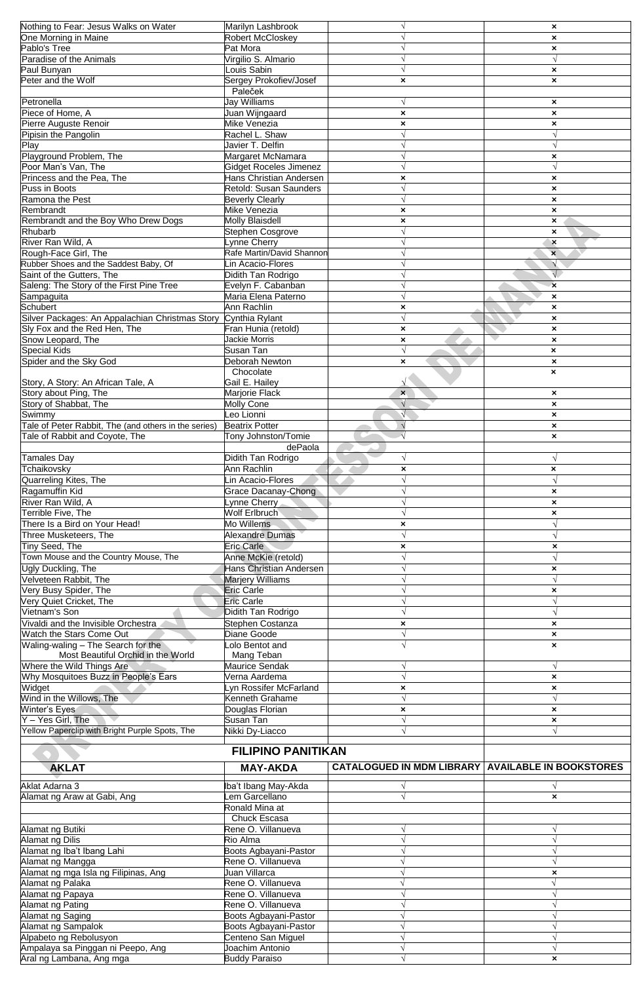| Nothing to Fear: Jesus Walks on Water                           | Marilyn Lashbrook                         |                                                            | $\boldsymbol{\mathsf{x}}$                              |
|-----------------------------------------------------------------|-------------------------------------------|------------------------------------------------------------|--------------------------------------------------------|
| One Morning in Maine                                            | Robert McCloskey                          |                                                            | $\boldsymbol{\mathsf{x}}$                              |
| Pablo's Tree                                                    | Pat Mora                                  |                                                            | ×                                                      |
| Paradise of the Animals                                         | Virgilio S. Almario                       |                                                            |                                                        |
| Paul Bunyan                                                     | Louis Sabin                               | $\sqrt{ }$                                                 | $\boldsymbol{\mathsf{x}}$                              |
| Peter and the Wolf                                              | Sergey Prokofiev/Josef                    | ×                                                          | $\boldsymbol{\mathsf{x}}$                              |
|                                                                 | Paleček                                   |                                                            |                                                        |
| Petronella                                                      | <b>Jay Williams</b>                       | $\sqrt{ }$                                                 | $\boldsymbol{\mathsf{x}}$                              |
| Piece of Home, A                                                | Juan Wijngaard                            | $\pmb{\times}$                                             | $\pmb{\times}$                                         |
| Pierre Auguste Renoir                                           | Mike Venezia                              | ×                                                          | ×                                                      |
| Pipisin the Pangolin                                            | Rachel L. Shaw                            |                                                            |                                                        |
| Play                                                            | Javier T. Delfin                          | $\sqrt{ }$                                                 | $\sqrt{ }$                                             |
| Playground Problem, The                                         | Margaret McNamara                         |                                                            | ×                                                      |
| Poor Man's Van, The                                             | <b>Gidget Roceles Jimenez</b>             | V                                                          | $\sqrt{ }$                                             |
| Princess and the Pea, The                                       | Hans Christian Andersen                   | $\pmb{\times}$                                             | $\pmb{\times}$                                         |
| Puss in Boots                                                   | Retold: Susan Saunders                    |                                                            | $\boldsymbol{\mathsf{x}}$                              |
| Ramona the Pest                                                 | <b>Beverly Clearly</b>                    |                                                            | $\boldsymbol{\mathsf{x}}$                              |
| Rembrandt                                                       | Mike Venezia                              | ×                                                          | $\pmb{\times}$                                         |
| Rembrandt and the Boy Who Drew Dogs                             | <b>Molly Blaisdell</b>                    | $\boldsymbol{\mathsf{x}}$                                  | $\boldsymbol{\mathsf{x}}$                              |
| <b>Rhubarb</b>                                                  | Stephen Cosgrove                          | V                                                          | $\boldsymbol{\mathsf{x}}$                              |
| River Ran Wild, A                                               | Lynne Cherry                              | $\sqrt{ }$                                                 | $\boldsymbol{\mathsf{x}}$                              |
| Rough-Face Girl, The                                            | Rafe Martin/David Shannon                 |                                                            | $\mathbf{x}$                                           |
| Rubber Shoes and the Saddest Baby, Of                           | Lin Acacio-Flores                         |                                                            | $\sqrt{ }$                                             |
| Saint of the Gutters, The                                       | Didith Tan Rodrigo                        |                                                            | $\sqrt{}$                                              |
| Saleng: The Story of the First Pine Tree                        | Evelyn F. Cabanban<br>Maria Elena Paterno |                                                            | $\mathbf x$                                            |
| Sampaguita<br>Schubert                                          | Ann Rachlin                               |                                                            | $\boldsymbol{\mathsf{x}}$                              |
| Silver Packages: An Appalachian Christmas Story Cynthia Rylant  |                                           | ×<br>$\sqrt{ }$                                            | $\boldsymbol{\mathsf{x}}$<br>$\boldsymbol{\mathsf{x}}$ |
| Sly Fox and the Red Hen, The                                    | Fran Hunia (retold)                       | $\boldsymbol{\mathsf{x}}$                                  | $\boldsymbol{\mathsf{x}}$                              |
| Snow Leopard, The                                               | <b>Jackie Morris</b>                      | ×                                                          | $\boldsymbol{\mathsf{x}}$                              |
| Special Kids                                                    | Susan Tan                                 | $\sqrt{ }$                                                 | $\boldsymbol{\mathsf{x}}$                              |
| Spider and the Sky God                                          | Deborah Newton                            | $\mathbf{x}$                                               | $\boldsymbol{\mathsf{x}}$                              |
|                                                                 | Chocolate                                 |                                                            | $\boldsymbol{\mathsf{x}}$                              |
| Story, A Story: An African Tale, A                              | Gail E. Hailey                            |                                                            |                                                        |
| Story about Ping, The                                           | Marjorie Flack                            | $\mathbf{x}$                                               | $\boldsymbol{\mathsf{x}}$                              |
| Story of Shabbat, The                                           | Molly Cone                                | $\sqrt{ }$                                                 | $\boldsymbol{\mathsf{x}}$                              |
| Swimmy                                                          | Leo Lionni                                |                                                            | $\boldsymbol{\mathsf{x}}$                              |
| Tale of Peter Rabbit, The (and others in the series)            | <b>Beatrix Potter</b>                     | $\sqrt{ }$                                                 | $\pmb{\times}$                                         |
| Tale of Rabbit and Coyote, The                                  | Tony Johnston/Tomie                       |                                                            | $\boldsymbol{\mathsf{x}}$                              |
|                                                                 | dePaola                                   |                                                            |                                                        |
| <b>Tamales Day</b>                                              | Didith Tan Rodrigo                        | $\sqrt{ }$                                                 |                                                        |
| Tchaikovsky                                                     | Ann Rachlin                               | ×                                                          | $\boldsymbol{\mathsf{x}}$                              |
| Quarreling Kites, The                                           | Lin Acacio-Flores                         | $\sqrt{}$                                                  |                                                        |
| Ragamuffin Kid                                                  | Grace Dacanav-Chong                       |                                                            | ×                                                      |
| River Ran Wild, A                                               | Lynne Cherry                              |                                                            | $\boldsymbol{\mathsf{x}}$                              |
| Terrible Five, The                                              | Wolf Erlbruch                             |                                                            | ×                                                      |
| There Is a Bird on Your Head!                                   | Mo Willems                                | $\boldsymbol{\mathsf{x}}$                                  |                                                        |
| Three Musketeers, The                                           | <b>Alexandre Dumas</b>                    |                                                            |                                                        |
| Tiny Seed, The                                                  | <b>Eric Carle</b>                         | ×                                                          | ×                                                      |
| Town Mouse and the Country Mouse, The                           | Anne McKie (retold)                       |                                                            |                                                        |
| Ugly Duckling, The                                              | Hans Christian Andersen                   |                                                            | ×                                                      |
| Velveteen Rabbit, The                                           | <b>Marjery Williams</b>                   |                                                            | $\sqrt{ }$                                             |
| Very Busy Spider, The                                           | <b>Eric Carle</b>                         |                                                            | $\pmb{\times}$                                         |
| Very Quiet Cricket, The                                         | <b>Eric Carle</b>                         |                                                            |                                                        |
| Vietnam's Son                                                   | Didith Tan Rodrigo                        |                                                            |                                                        |
| Vivaldi and the Invisible Orchestra                             | Stephen Costanza                          | ×                                                          | $\boldsymbol{\mathsf{x}}$                              |
| Watch the Stars Come Out                                        | Diane Goode                               |                                                            | ×                                                      |
| Waling-waling - The Search for the                              | Lolo Bentot and                           |                                                            | ×                                                      |
| Most Beautiful Orchid in the World<br>Where the Wild Things Are | Mang Teban                                |                                                            |                                                        |
|                                                                 | <b>Maurice Sendak</b>                     |                                                            | $\sqrt{ }$                                             |
|                                                                 |                                           |                                                            |                                                        |
| Why Mosquitoes Buzz in People's Ears                            | Verna Aardema                             |                                                            | ×                                                      |
| Widget                                                          | Lyn Rossifer McFarland                    | $\boldsymbol{\mathsf{x}}$                                  | $\boldsymbol{\mathsf{x}}$                              |
| Wind in the Willows, The                                        | Kenneth Grahame                           |                                                            |                                                        |
| Winter's Eyes                                                   | Douglas Florian                           | ×                                                          | $\boldsymbol{\mathsf{x}}$                              |
| $Y - Yes$ Girl, The                                             | Susan Tan                                 |                                                            | ×                                                      |
| Yellow Paperclip with Bright Purple Spots, The                  | Nikki Dy-Liacco                           |                                                            |                                                        |
|                                                                 | <b>FILIPINO PANITIKAN</b>                 |                                                            |                                                        |
| <b>AKLAT</b>                                                    |                                           | <b>CATALOGUED IN MDM LIBRARY   AVAILABLE IN BOOKSTORES</b> |                                                        |
|                                                                 | <b>MAY-AKDA</b>                           |                                                            |                                                        |
| Aklat Adarna 3                                                  | Iba't Ibang May-Akda                      | V                                                          | V                                                      |
| Alamat ng Araw at Gabi, Ang                                     | em Garcellano                             | √                                                          | $\boldsymbol{\mathsf{x}}$                              |
|                                                                 | Ronald Mina at                            |                                                            |                                                        |
|                                                                 | Chuck Escasa                              |                                                            |                                                        |
| Alamat ng Butiki                                                | Rene O. Villanueva                        |                                                            |                                                        |
| Alamat ng Dilis                                                 | Rio Alma                                  |                                                            |                                                        |
| Alamat ng Iba't Ibang Lahi                                      | Boots Agbayani-Pastor                     |                                                            |                                                        |
| Alamat ng Mangga                                                | Rene O. Villanueva                        |                                                            |                                                        |
| Alamat ng mga Isla ng Filipinas, Ang                            | Juan Villarca                             |                                                            | ×                                                      |
| Alamat ng Palaka                                                | Rene O. Villanueva                        |                                                            |                                                        |
| Alamat ng Papaya                                                | Rene O. Villanueva                        |                                                            |                                                        |
| Alamat ng Pating                                                | Rene O. Villanueva                        |                                                            |                                                        |
| Alamat ng Saging                                                | Boots Agbayani-Pastor                     |                                                            |                                                        |
| Alamat ng Sampalok                                              | Boots Agbayani-Pastor                     |                                                            |                                                        |
| Alpabeto ng Rebolusyon                                          | Centeno San Miguel                        |                                                            |                                                        |
| Ampalaya sa Pinggan ni Peepo, Ang<br>Aral ng Lambana, Ang mga   | Joachim Antonio<br><b>Buddy Paraiso</b>   |                                                            | ×                                                      |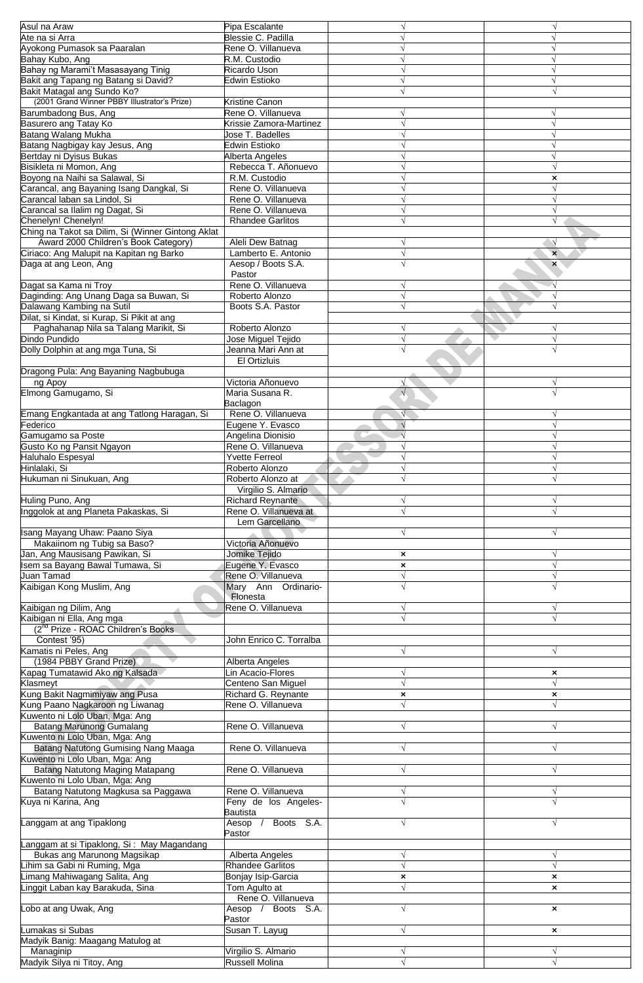| Asul na Araw                                      |                         |                           |                           |
|---------------------------------------------------|-------------------------|---------------------------|---------------------------|
|                                                   | Pipa Escalante          |                           |                           |
| Ate na si Arra                                    | Blessie C. Padilla      |                           |                           |
| Ayokong Pumasok sa Paaralan                       | Rene O. Villanueva      |                           |                           |
| Bahay Kubo, Ang                                   | R.M. Custodio           |                           |                           |
| Bahay ng Marami't Masasayang Tinig                | Ricardo Uson            |                           |                           |
| Bakit ang Tapang ng Batang si David?              | <b>Edwin Estioko</b>    |                           |                           |
| Bakit Matagal ang Sundo Ko?                       |                         |                           |                           |
| (2001 Grand Winner PBBY Illustrator's Prize)      | Kristine Canon          |                           |                           |
| Barumbadong Bus, Ang                              | Rene O. Villanueva      |                           |                           |
| Basurero ang Tatay Ko                             | Krissie Zamora-Martinez |                           |                           |
| Batang Walang Mukha                               | Jose T. Badelles        |                           |                           |
|                                                   |                         |                           |                           |
| Batang Nagbigay kay Jesus, Ang                    | <b>Edwin Estioko</b>    |                           |                           |
| Bertday ni Dyisus Bukas                           | Alberta Angeles         |                           |                           |
| Bisikleta ni Momon, Ang                           | Rebecca T. Añonuevo     |                           |                           |
| Boyong na Naihi sa Salawal, Si                    | R.M. Custodio           |                           | ×                         |
| Carancal, ang Bayaning Isang Dangkal, Si          | Rene O. Villanueva      |                           |                           |
| Carancal laban sa Lindol, Si                      | Rene O. Villanueva      |                           |                           |
| Carancal sa Ilalim ng Dagat, Si                   | Rene O. Villanueva      |                           |                           |
| Chenelyn! Chenelyn!                               | <b>Rhandee Garlitos</b> |                           | V                         |
| Ching na Takot sa Dilim, Si (Winner Gintong Aklat |                         |                           |                           |
| Award 2000 Children's Book Category)              | Aleli Dew Batnag        |                           |                           |
| Ciriaco: Ang Malupit na Kapitan ng Barko          | Lamberto E. Antonio     | V                         | $\boldsymbol{\mathsf{x}}$ |
| Daga at ang Leon, Ang                             | Aesop / Boots S.A.      |                           |                           |
|                                                   | Pastor                  |                           | ×                         |
|                                                   |                         |                           |                           |
| Dagat sa Kama ni Troy                             | Rene O. Villanueva      |                           |                           |
| Daginding: Ang Unang Daga sa Buwan, Si            | Roberto Alonzo          |                           |                           |
| Dalawang Kambing na Sutil                         | Boots S.A. Pastor       |                           |                           |
| Dilat, si Kindat, si Kurap, Si Pikit at ang       |                         |                           |                           |
| Paghahanap Nila sa Talang Marikit, Si             | Roberto Alonzo          |                           |                           |
| Dindo Pundido                                     | Jose Miguel Tejido      | V                         | $\sqrt{ }$                |
| Dolly Dolphin at ang mga Tuna, Si                 | Jeanna Mari Ann at      |                           |                           |
|                                                   | El Ortizluis            |                           |                           |
| Dragong Pula: Ang Bayaning Nagbubuga              |                         |                           |                           |
| ng Apoy                                           | Victoria Añonuevo       |                           | V                         |
| Elmong Gamugamo, Si                               | Maria Susana R.         |                           |                           |
|                                                   | Baclagon                |                           |                           |
|                                                   | Rene O. Villanueva      |                           |                           |
| Emang Engkantada at ang Tatlong Haragan, Si       |                         |                           |                           |
| Federico                                          | Eugene Y. Evasco        |                           |                           |
| Gamugamo sa Poste                                 | Angelina Dionisio       |                           |                           |
| Gusto Ko ng Pansit Ngayon                         | Rene O. Villanueva      |                           |                           |
| <b>Haluhalo Espesyal</b>                          | <b>Yvette Ferreol</b>   |                           |                           |
| Hinlalaki, Si                                     | Roberto Alonzo          |                           |                           |
| Hukuman ni Sinukuan, Ang                          | Roberto Alonzo at       |                           |                           |
|                                                   | Virgilio S. Almario     |                           |                           |
| Huling Puno, Ang                                  | <b>Richard Reynante</b> |                           |                           |
| Inggolok at ang Planeta Pakaskas, Si              | Rene O. Villanueva at   |                           |                           |
|                                                   | Lem Garcellano          |                           |                           |
| Isang Mayang Uhaw: Paano Siya                     |                         | $\sqrt{}$                 | V                         |
| Makaiinom ng Tubig sa Baso?                       | Victoria Añonuevo       |                           |                           |
| Jan, Ang Mausisang Pawikan, Si                    | Jomike Tejido           | $\pmb{\times}$            |                           |
| Isem sa Bayang Bawal Tumawa, Si                   |                         |                           |                           |
|                                                   | Eugene Y. Evasco        | $\pmb{\times}$            |                           |
| Juan Tamad                                        | Rene O. Villanueva      |                           |                           |
| Kaibigan Kong Muslim, Ang                         | Mary Ann Ordinario-     |                           |                           |
|                                                   | Flonesta                |                           |                           |
| Kaibigan ng Dilim, Ang                            | Rene O. Villanueva      |                           |                           |
| Kaibigan ni Ella, Ang mga                         |                         |                           |                           |
| (2 <sup>nd</sup> Prize - ROAC Children's Books    |                         |                           |                           |
| Contest '95)                                      | John Enrico C. Torralba |                           |                           |
| Kamatis ni Peles, Ang                             |                         |                           |                           |
| (1984 PBBY Grand Prize)                           | Alberta Angeles         |                           |                           |
| Kapag Tumatawid Ako ng Kalsada                    | Lin Acacio-Flores       |                           | ×                         |
| Klasmeyt                                          | Centeno San Miguel      |                           |                           |
| Kung Bakit Nagmimiyaw ang Pusa                    | Richard G. Reynante     | $\boldsymbol{\mathsf{x}}$ | $\boldsymbol{\mathsf{x}}$ |
| Kung Paano Nagkaroon ng Liwanag                   | Rene O. Villanueva      |                           |                           |
| Kuwento ni Lolo Uban, Mga: Ang                    |                         |                           |                           |
| <b>Batang Marunong Gumalang</b>                   | Rene O. Villanueva      |                           |                           |
| Kuwento ni Lolo Uban, Mga: Ang                    |                         |                           |                           |
|                                                   | Rene O. Villanueva      |                           |                           |
| <b>Batang Natutong Gumising Nang Maaga</b>        |                         |                           |                           |
| Kuwento ni Lolo Uban, Mga: Ang                    |                         |                           |                           |
| Batang Natutong Maging Matapang                   | Rene O. Villanueva      |                           |                           |
| Kuwento ni Lolo Uban, Mga: Ang                    |                         |                           |                           |
| Batang Natutong Magkusa sa Paggawa                | Rene O. Villanueva      |                           | V                         |
| Kuya ni Karina, Ang                               | Feny de los Angeles-    |                           |                           |
|                                                   | Bautista                |                           |                           |
| Langgam at ang Tipaklong                          | Boots S.A.<br>Aesop /   |                           |                           |
|                                                   | Pastor                  |                           |                           |
| Langgam at si Tipaklong, Si: May Magandang        |                         |                           |                           |
| Bukas ang Marunong Magsikap                       | Alberta Angeles         | V                         | $\sqrt{ }$                |
| Lihim sa Gabi ni Ruming, Mga                      | <b>Rhandee Garlitos</b> | $\sqrt{}$                 | $\sqrt{}$                 |
| Limang Mahiwagang Salita, Ang                     | Bonjay Isip-Garcia      | ×                         | $\boldsymbol{\mathsf{x}}$ |
| Linggit Laban kay Barakuda, Sina                  | Tom Agulto at           |                           | $\pmb{\times}$            |
|                                                   | Rene O. Villanueva      |                           |                           |
| Lobo at ang Uwak, Ang                             | Aesop /<br>Boots S.A.   |                           |                           |
|                                                   |                         |                           | ×                         |
|                                                   | Pastor                  |                           |                           |
| umakas si Subas                                   | Susan T. Layug          | V                         | $\boldsymbol{\mathsf{x}}$ |
| Madyik Banig: Maagang Matulog at                  |                         |                           |                           |
| Managinip                                         | Virgilio S. Almario     |                           |                           |
| Madyik Silya ni Titoy, Ang                        | Russell Molina          |                           |                           |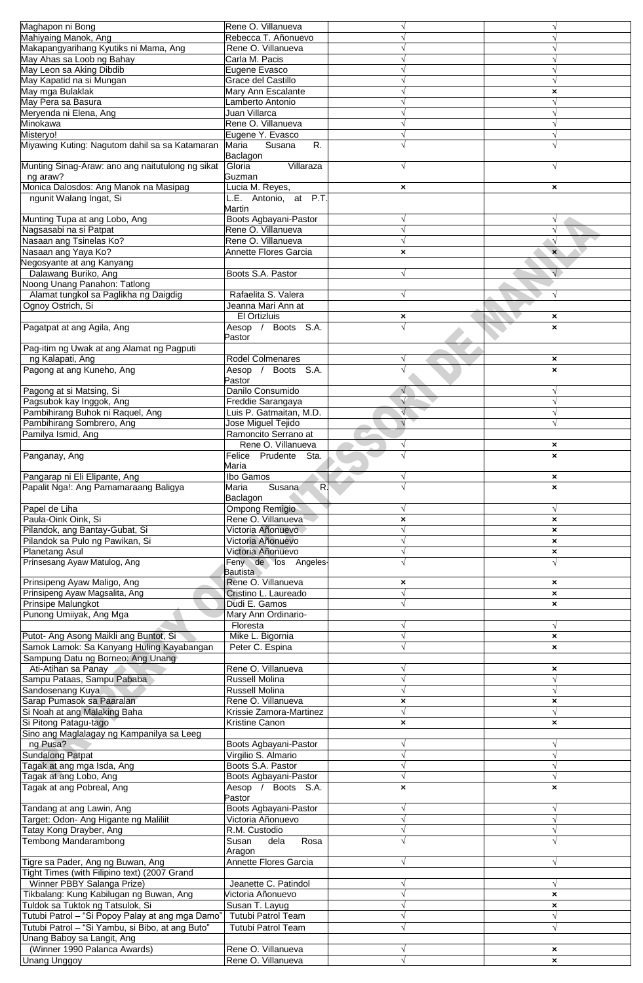| Maghapon ni Bong                                                                    | Rene O. Villanueva                           |                           |                                                        |
|-------------------------------------------------------------------------------------|----------------------------------------------|---------------------------|--------------------------------------------------------|
| Mahiyaing Manok, Ang                                                                | Rebecca T. Añonuevo                          |                           |                                                        |
| Makapangyarihang Kyutiks ni Mama, Ang                                               | Rene O. Villanueva                           |                           |                                                        |
| May Ahas sa Loob ng Bahay                                                           | Carla M. Pacis                               |                           |                                                        |
| May Leon sa Aking Dibdib                                                            | Eugene Evasco                                |                           |                                                        |
| May Kapatid na si Mungan<br>May mga Bulaklak                                        | Grace del Castillo<br>Mary Ann Escalante     |                           |                                                        |
| May Pera sa Basura                                                                  | Lamberto Antonio                             |                           | ×                                                      |
| Meryenda ni Elena, Ang                                                              | Juan Villarca                                |                           |                                                        |
| Minokawa                                                                            | Rene O. Villanueva                           |                           |                                                        |
| Misteryo!                                                                           | Eugene Y. Evasco                             |                           |                                                        |
| Miyawing Kuting: Nagutom dahil sa sa Katamaran                                      | Maria<br>Susana<br>R.                        |                           |                                                        |
|                                                                                     | Baclagon                                     |                           |                                                        |
| Munting Sinag-Araw: ano ang naitutulong ng sikat                                    | Villaraza<br>Gloria                          |                           |                                                        |
| ng araw?<br>Monica Dalosdos: Ang Manok na Masipag                                   | Guzman<br>Lucia M. Reyes,                    | $\boldsymbol{\mathsf{x}}$ | $\boldsymbol{\mathsf{x}}$                              |
| ngunit Walang Ingat, Si                                                             | L.E. Antonio, at P.T.                        |                           |                                                        |
|                                                                                     | Martin                                       |                           |                                                        |
| Munting Tupa at ang Lobo, Ang                                                       | Boots Agbayani-Pastor                        | $\sqrt{ }$                | $\sqrt{}$                                              |
| Nagsasabi na si Patpat                                                              | Rene O. Villanueva                           | $\sqrt{}$                 |                                                        |
| Nasaan ang Tsinelas Ko?                                                             | Rene O. Villanueva                           | $\sqrt{ }$                |                                                        |
| Nasaan ang Yaya Ko?                                                                 | Annette Flores Garcia                        | ×                         | $\boldsymbol{\mathsf{x}}$                              |
| Negosyante at ang Kanyang                                                           |                                              |                           |                                                        |
| Dalawang Buriko, Ang<br>Noong Unang Panahon: Tatlong                                | Boots S.A. Pastor                            | N                         |                                                        |
| Alamat tungkol sa Paglikha ng Daigdig                                               | Rafaelita S. Valera                          |                           |                                                        |
| Ognoy Ostrich, Si                                                                   | Jeanna Mari Ann at                           |                           |                                                        |
|                                                                                     | El Ortizluis                                 | ×                         | $\boldsymbol{\mathsf{x}}$                              |
| Pagatpat at ang Agila, Ang                                                          | Boots S.A.<br>Aesop /                        |                           | ×                                                      |
|                                                                                     | Pastor                                       |                           |                                                        |
| Pag-itim ng Uwak at ang Alamat ng Pagputi                                           |                                              |                           |                                                        |
| ng Kalapati, Ang                                                                    | <b>Rodel Colmenares</b><br>Boots S.A.        |                           | ×                                                      |
| Pagong at ang Kuneho, Ang                                                           | Aesop /<br>Pastor                            |                           | ×                                                      |
| Pagong at si Matsing, Si                                                            | Danilo Consumido                             |                           |                                                        |
| Pagsubok kay Inggok, Ang                                                            | Freddie Sarangaya                            |                           |                                                        |
| Pambihirang Buhok ni Raquel, Ang                                                    | Luis P. Gatmaitan, M.D.                      |                           |                                                        |
| Pambihirang Sombrero, Ang                                                           | Jose Miguel Tejido                           |                           |                                                        |
| Pamilya Ismid, Ang                                                                  | Ramoncito Serrano at                         |                           |                                                        |
|                                                                                     | Rene O. Villanueva                           | N                         | $\boldsymbol{\mathsf{x}}$                              |
| Panganay, Ang                                                                       | Felice Prudente Sta.                         |                           | ×                                                      |
| Pangarap ni Eli Elipante, Ang                                                       | Maria<br>Ibo Gamos                           |                           |                                                        |
| Papalit Ngal: Ang Pamamaraang Baligya                                               | Susana<br>R.<br>Maria                        |                           | ×                                                      |
|                                                                                     | Baclagon                                     |                           |                                                        |
| Papel de Liha                                                                       | Ompong Remigio                               |                           |                                                        |
| Paula-Oink Oink, Si                                                                 | Rene O. Villanueva                           | ×                         | ×                                                      |
| Pilandok, ang Bantay-Gubat, Si                                                      | Victoria Añonuevo                            | $\sqrt{}$                 | $\boldsymbol{\mathsf{x}}$                              |
| Pilandok sa Pulo ng Pawikan, Si                                                     | Victoria Añonuevo                            | $\sqrt{ }$                | $\pmb{\times}$                                         |
| <b>Planetang Asul</b><br>Prinsesang Ayaw Matulog, Ang                               | Victoria Añonuevo<br>Feny de los Angeles     | $\sqrt{}$                 | $\pmb{\times}$                                         |
|                                                                                     | <b>Bautista</b>                              |                           |                                                        |
| Prinsipeng Ayaw Maligo, Ang                                                         | Rene O. Villanueva                           | ×                         | $\boldsymbol{\mathsf{x}}$                              |
| Prinsipeng Ayaw Magsalita, Ang                                                      | Cristino L. Laureado                         | $\sqrt{ }$                | $\boldsymbol{\mathsf{x}}$                              |
| Prinsipe Malungkot                                                                  | Dudi E. Gamos                                | $\sqrt{}$                 | $\pmb{\times}$                                         |
| Punong Umiiyak, Ang Mga                                                             | Mary Ann Ordinario-                          |                           |                                                        |
|                                                                                     | Floresta                                     |                           |                                                        |
| Putot- Ang Asong Maikli ang Buntot, Si<br>Samok Lamok: Sa Kanyang Huling Kayabangan | Mike L. Bigornia<br>Peter C. Espina          |                           | $\boldsymbol{\mathsf{x}}$<br>$\boldsymbol{\mathsf{x}}$ |
| Sampung Datu ng Borneo: Ang Unang                                                   |                                              |                           |                                                        |
| Ati-Atihan sa Panay                                                                 | Rene O. Villanueva                           | V                         | $\boldsymbol{\mathsf{x}}$                              |
| Sampu Pataas, Sampu Pababa                                                          | Russell Molina                               |                           | $\sqrt{ }$                                             |
| Sandosenang Kuya                                                                    | <b>Russell Molina</b>                        |                           |                                                        |
| Sarap Pumasok sa Paaralan                                                           | Rene O. Villanueva                           | $\boldsymbol{\mathsf{x}}$ | $\boldsymbol{\mathsf{x}}$                              |
| Si Noah at ang Malaking Baha                                                        | Krissie Zamora-Martinez                      | $\sqrt{}$                 | V                                                      |
| Si Pitong Patagu-tago                                                               | Kristine Canon                               | $\boldsymbol{\mathsf{x}}$ | ×                                                      |
| Sino ang Maglalagay ng Kampanilya sa Leeg                                           |                                              |                           |                                                        |
| ng Pusa?<br><b>Sundalong Patpat</b>                                                 | Boots Agbayani-Pastor<br>Virgilio S. Almario | $\sqrt{ }$<br>$\sqrt{ }$  | V<br>$\sqrt{}$                                         |
| Tagak at ang mga Isda, Ang                                                          | Boots S.A. Pastor                            |                           |                                                        |
| Tagak at ang Lobo, Ang                                                              | Boots Agbayani-Pastor                        | $\sqrt{ }$                |                                                        |
| Tagak at ang Pobreal, Ang                                                           | Aesop / Boots S.A.                           | ×                         | ×                                                      |
|                                                                                     | Pastor                                       |                           |                                                        |
| Tandang at ang Lawin, Ang                                                           | Boots Agbayani-Pastor                        | $\sqrt{ }$                |                                                        |
| Target: Odon- Ang Higante ng Maliliit                                               | Victoria Añonuevo                            |                           |                                                        |
| Tatay Kong Drayber, Ang                                                             | R.M. Custodio                                |                           |                                                        |
| Tembong Mandarambong                                                                | dela<br>Susan<br>Rosa                        |                           |                                                        |
| Tigre sa Pader, Ang ng Buwan, Ang                                                   | Aragon<br>Annette Flores Garcia              |                           |                                                        |
| Tight Times (with Filipino text) (2007 Grand                                        |                                              |                           |                                                        |
| Winner PBBY Salanga Prize)                                                          | Jeanette C. Patindol                         |                           |                                                        |
| Tikbalang: Kung Kabilugan ng Buwan, Ang                                             | Victoria Añonuevo                            |                           | ×                                                      |
| Tuldok sa Tuktok ng Tatsulok, Si                                                    | Susan T. Layug                               |                           | $\boldsymbol{\mathsf{x}}$                              |
| Tutubi Patrol - "Si Popoy Palay at ang mga Damo"                                    | <b>Tutubi Patrol Team</b>                    |                           |                                                        |
| Tutubi Patrol - "Si Yambu, si Bibo, at ang Buto"                                    | Tutubi Patrol Team                           |                           |                                                        |
| Unang Baboy sa Langit, Ang                                                          |                                              |                           |                                                        |
| (Winner 1990 Palanca Awards)                                                        | Rene O. Villanueva                           |                           | ×                                                      |
| <b>Unang Unggoy</b>                                                                 | Rene O. Villanueva                           |                           | ×                                                      |